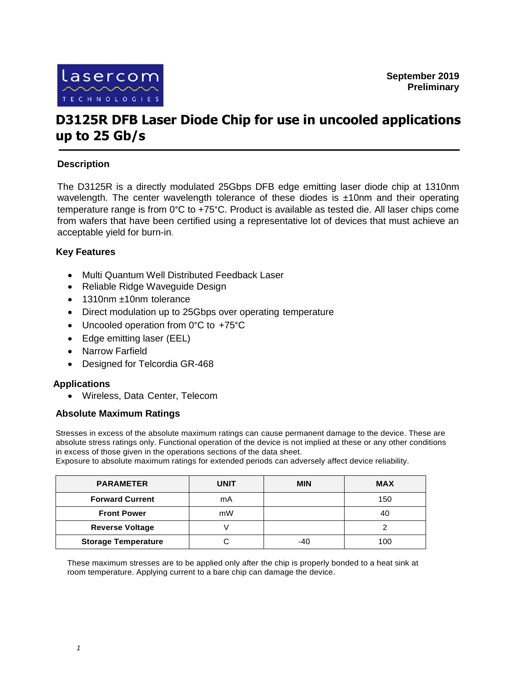

# **D3125R DFB Laser Diode Chip for use in uncooled applications up to 25 Gb/s**

## **Description**

The D3125R is a directly modulated 25Gbps DFB edge emitting laser diode chip at 1310nm wavelength. The center wavelength tolerance of these diodes is ±10nm and their operating temperature range is from 0°C to +75°C. Product is available as tested die. All laser chips come from wafers that have been certified using a representative lot of devices that must achieve an acceptable yield for burn-in.

## **Key Features**

- Multi Quantum Well Distributed Feedback Laser
- Reliable Ridge Waveguide Design
- 1310nm ±10nm tolerance
- Direct modulation up to 25Gbps over operating temperature
- Uncooled operation from 0°C to +75°C
- Edge emitting laser (EEL)
- Narrow Farfield
- Designed for Telcordia GR-468

#### **Applications**

Wireless, Data Center, Telecom

#### **Absolute Maximum Ratings**

Stresses in excess of the absolute maximum ratings can cause permanent damage to the device. These are absolute stress ratings only. Functional operation of the device is not implied at these or any other conditions in excess of those given in the operations sections of the data sheet.

Exposure to absolute maximum ratings for extended periods can adversely affect device reliability.

| <b>PARAMETER</b>           | <b>UNIT</b> | <b>MIN</b> | <b>MAX</b> |
|----------------------------|-------------|------------|------------|
| <b>Forward Current</b>     | mA          |            | 150        |
| <b>Front Power</b>         | mW          |            | 40         |
| <b>Reverse Voltage</b>     |             |            |            |
| <b>Storage Temperature</b> |             | $-40$      | 100        |

These maximum stresses are to be applied only after the chip is properly bonded to a heat sink at room temperature. Applying current to a bare chip can damage the device.